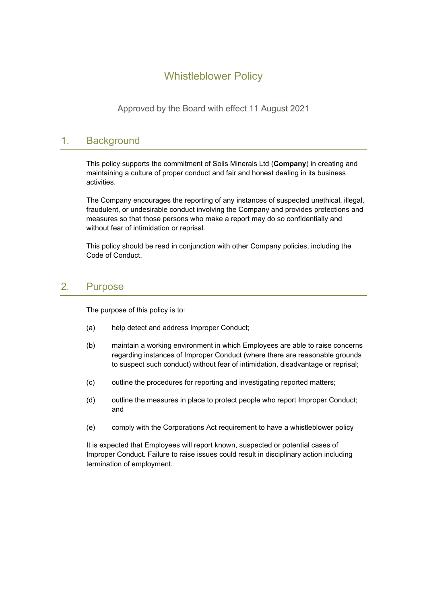# Whistleblower Policy

Approved by the Board with effect 11 August 2021

### 1. Background

This policy supports the commitment of Solis Minerals Ltd (**Company**) in creating and maintaining a culture of proper conduct and fair and honest dealing in its business activities.

The Company encourages the reporting of any instances of suspected unethical, illegal, fraudulent, or undesirable conduct involving the Company and provides protections and measures so that those persons who make a report may do so confidentially and without fear of intimidation or reprisal.

This policy should be read in conjunction with other Company policies, including the Code of Conduct.

### 2. Purpose

The purpose of this policy is to:

- (a) help detect and address Improper Conduct;
- (b) maintain a working environment in which Employees are able to raise concerns regarding instances of Improper Conduct (where there are reasonable grounds to suspect such conduct) without fear of intimidation, disadvantage or reprisal;
- (c) outline the procedures for reporting and investigating reported matters;
- (d) outline the measures in place to protect people who report Improper Conduct; and
- (e) comply with the Corporations Act requirement to have a whistleblower policy

It is expected that Employees will report known, suspected or potential cases of Improper Conduct. Failure to raise issues could result in disciplinary action including termination of employment.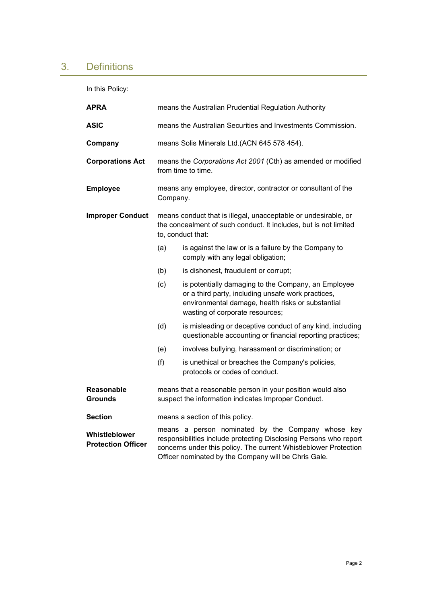# 3. Definitions

In this Policy:

| <b>APRA</b>                                | means the Australian Prudential Regulation Authority                                                                                                                                                                                               |                                                                                                                                                                                                   |
|--------------------------------------------|----------------------------------------------------------------------------------------------------------------------------------------------------------------------------------------------------------------------------------------------------|---------------------------------------------------------------------------------------------------------------------------------------------------------------------------------------------------|
| <b>ASIC</b>                                | means the Australian Securities and Investments Commission.                                                                                                                                                                                        |                                                                                                                                                                                                   |
| Company                                    | means Solis Minerals Ltd.(ACN 645 578 454).                                                                                                                                                                                                        |                                                                                                                                                                                                   |
| <b>Corporations Act</b>                    | means the Corporations Act 2001 (Cth) as amended or modified<br>from time to time.                                                                                                                                                                 |                                                                                                                                                                                                   |
| <b>Employee</b>                            | means any employee, director, contractor or consultant of the<br>Company.                                                                                                                                                                          |                                                                                                                                                                                                   |
| <b>Improper Conduct</b>                    | means conduct that is illegal, unacceptable or undesirable, or<br>the concealment of such conduct. It includes, but is not limited<br>to, conduct that:                                                                                            |                                                                                                                                                                                                   |
|                                            | (a)                                                                                                                                                                                                                                                | is against the law or is a failure by the Company to<br>comply with any legal obligation;                                                                                                         |
|                                            | (b)                                                                                                                                                                                                                                                | is dishonest, fraudulent or corrupt;                                                                                                                                                              |
|                                            | (c)                                                                                                                                                                                                                                                | is potentially damaging to the Company, an Employee<br>or a third party, including unsafe work practices,<br>environmental damage, health risks or substantial<br>wasting of corporate resources; |
|                                            | (d)                                                                                                                                                                                                                                                | is misleading or deceptive conduct of any kind, including<br>questionable accounting or financial reporting practices;                                                                            |
|                                            | (e)                                                                                                                                                                                                                                                | involves bullying, harassment or discrimination; or                                                                                                                                               |
|                                            | (f)                                                                                                                                                                                                                                                | is unethical or breaches the Company's policies,<br>protocols or codes of conduct.                                                                                                                |
| <b>Reasonable</b><br><b>Grounds</b>        | means that a reasonable person in your position would also<br>suspect the information indicates Improper Conduct.                                                                                                                                  |                                                                                                                                                                                                   |
| <b>Section</b>                             | means a section of this policy.                                                                                                                                                                                                                    |                                                                                                                                                                                                   |
| Whistleblower<br><b>Protection Officer</b> | means a person nominated by the Company whose key<br>responsibilities include protecting Disclosing Persons who report<br>concerns under this policy. The current Whistleblower Protection<br>Officer nominated by the Company will be Chris Gale. |                                                                                                                                                                                                   |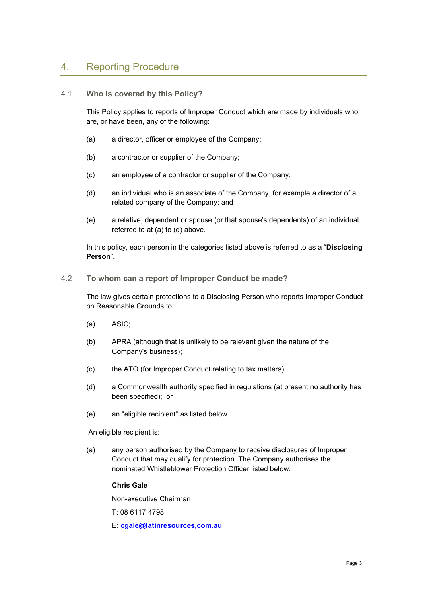### 4. Reporting Procedure

#### 4.1 **Who is covered by this Policy?**

This Policy applies to reports of Improper Conduct which are made by individuals who are, or have been, any of the following:

- (a) a director, officer or employee of the Company;
- (b) a contractor or supplier of the Company;
- (c) an employee of a contractor or supplier of the Company;
- (d) an individual who is an associate of the Company, for example a director of a related company of the Company; and
- (e) a relative, dependent or spouse (or that spouse's dependents) of an individual referred to at (a) to (d) above.

In this policy, each person in the categories listed above is referred to as a "**Disclosing Person**".

4.2 **To whom can a report of Improper Conduct be made?**

The law gives certain protections to a Disclosing Person who reports Improper Conduct on Reasonable Grounds to:

- (a) ASIC;
- (b) APRA (although that is unlikely to be relevant given the nature of the Company's business);
- (c) the ATO (for Improper Conduct relating to tax matters);
- (d) a Commonwealth authority specified in regulations (at present no authority has been specified); or
- (e) an "eligible recipient" as listed below.

An eligible recipient is:

(a) any person authorised by the Company to receive disclosures of Improper Conduct that may qualify for protection. The Company authorises the nominated Whistleblower Protection Officer listed below:

#### **Chris Gale**

Non-executive Chairman

T: 08 6117 4798

E: **[cgale@latinresources,com.au](mailto:cgale@latinresources,com.au)**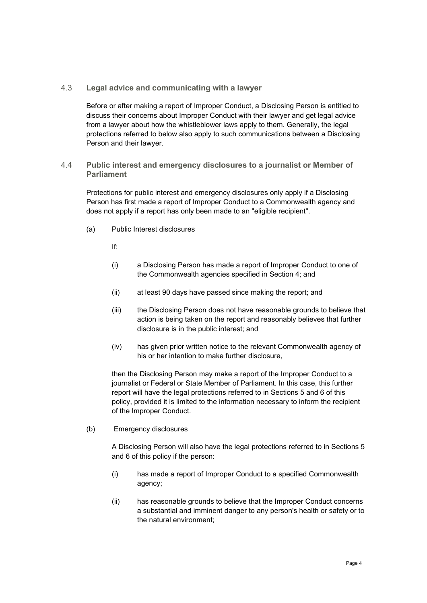#### 4.3 **Legal advice and communicating with a lawyer**

Before or after making a report of Improper Conduct, a Disclosing Person is entitled to discuss their concerns about Improper Conduct with their lawyer and get legal advice from a lawyer about how the whistleblower laws apply to them. Generally, the legal protections referred to below also apply to such communications between a Disclosing Person and their lawyer.

#### 4.4 **Public interest and emergency disclosures to a journalist or Member of Parliament**

Protections for public interest and emergency disclosures only apply if a Disclosing Person has first made a report of Improper Conduct to a Commonwealth agency and does not apply if a report has only been made to an "eligible recipient".

(a) Public Interest disclosures

If:

- (i) a Disclosing Person has made a report of Improper Conduct to one of the Commonwealth agencies specified in Section 4; and
- (ii) at least 90 days have passed since making the report; and
- (iii) the Disclosing Person does not have reasonable grounds to believe that action is being taken on the report and reasonably believes that further disclosure is in the public interest; and
- (iv) has given prior written notice to the relevant Commonwealth agency of his or her intention to make further disclosure,

then the Disclosing Person may make a report of the Improper Conduct to a journalist or Federal or State Member of Parliament. In this case, this further report will have the legal protections referred to in Sections 5 and 6 of this policy, provided it is limited to the information necessary to inform the recipient of the Improper Conduct.

(b) Emergency disclosures

A Disclosing Person will also have the legal protections referred to in Sections 5 and 6 of this policy if the person:

- (i) has made a report of Improper Conduct to a specified Commonwealth agency;
- (ii) has reasonable grounds to believe that the Improper Conduct concerns a substantial and imminent danger to any person's health or safety or to the natural environment;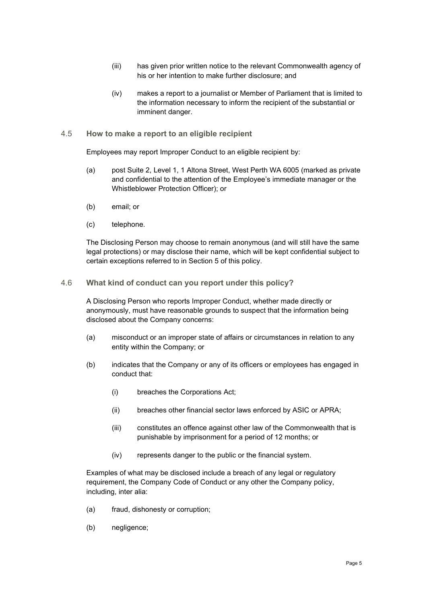- (iii) has given prior written notice to the relevant Commonwealth agency of his or her intention to make further disclosure; and
- (iv) makes a report to a journalist or Member of Parliament that is limited to the information necessary to inform the recipient of the substantial or imminent danger.

#### 4.5 **How to make a report to an eligible recipient**

Employees may report Improper Conduct to an eligible recipient by:

- (a) post Suite 2, Level 1, 1 Altona Street, West Perth WA 6005 (marked as private and confidential to the attention of the Employee's immediate manager or the Whistleblower Protection Officer); or
- (b) email; or
- (c) telephone.

The Disclosing Person may choose to remain anonymous (and will still have the same legal protections) or may disclose their name, which will be kept confidential subject to certain exceptions referred to in Section 5 of this policy.

#### 4.6 **What kind of conduct can you report under this policy?**

A Disclosing Person who reports Improper Conduct, whether made directly or anonymously, must have reasonable grounds to suspect that the information being disclosed about the Company concerns:

- (a) misconduct or an improper state of affairs or circumstances in relation to any entity within the Company; or
- (b) indicates that the Company or any of its officers or employees has engaged in conduct that:
	- (i) breaches the Corporations Act;
	- (ii) breaches other financial sector laws enforced by ASIC or APRA;
	- (iii) constitutes an offence against other law of the Commonwealth that is punishable by imprisonment for a period of 12 months; or
	- (iv) represents danger to the public or the financial system.

Examples of what may be disclosed include a breach of any legal or regulatory requirement, the Company Code of Conduct or any other the Company policy, including, inter alia:

- (a) fraud, dishonesty or corruption;
- (b) negligence;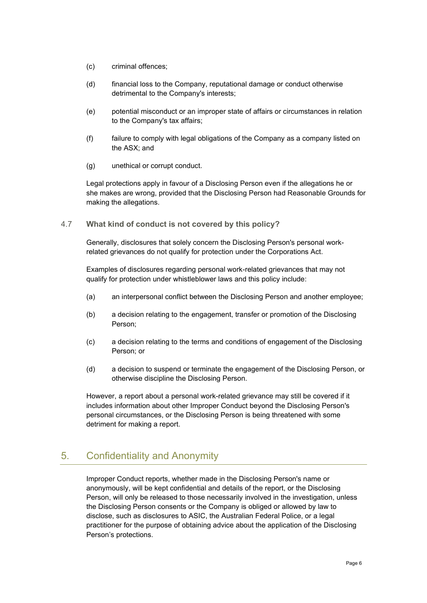- (c) criminal offences;
- (d) financial loss to the Company, reputational damage or conduct otherwise detrimental to the Company's interests;
- (e) potential misconduct or an improper state of affairs or circumstances in relation to the Company's tax affairs;
- (f) failure to comply with legal obligations of the Company as a company listed on the ASX; and
- (g) unethical or corrupt conduct.

Legal protections apply in favour of a Disclosing Person even if the allegations he or she makes are wrong, provided that the Disclosing Person had Reasonable Grounds for making the allegations.

4.7 **What kind of conduct is not covered by this policy?**

Generally, disclosures that solely concern the Disclosing Person's personal workrelated grievances do not qualify for protection under the Corporations Act.

Examples of disclosures regarding personal work-related grievances that may not qualify for protection under whistleblower laws and this policy include:

- (a) an interpersonal conflict between the Disclosing Person and another employee;
- (b) a decision relating to the engagement, transfer or promotion of the Disclosing Person;
- (c) a decision relating to the terms and conditions of engagement of the Disclosing Person; or
- (d) a decision to suspend or terminate the engagement of the Disclosing Person, or otherwise discipline the Disclosing Person.

However, a report about a personal work-related grievance may still be covered if it includes information about other Improper Conduct beyond the Disclosing Person's personal circumstances, or the Disclosing Person is being threatened with some detriment for making a report.

## 5. Confidentiality and Anonymity

Improper Conduct reports, whether made in the Disclosing Person's name or anonymously, will be kept confidential and details of the report, or the Disclosing Person, will only be released to those necessarily involved in the investigation, unless the Disclosing Person consents or the Company is obliged or allowed by law to disclose, such as disclosures to ASIC, the Australian Federal Police, or a legal practitioner for the purpose of obtaining advice about the application of the Disclosing Person's protections.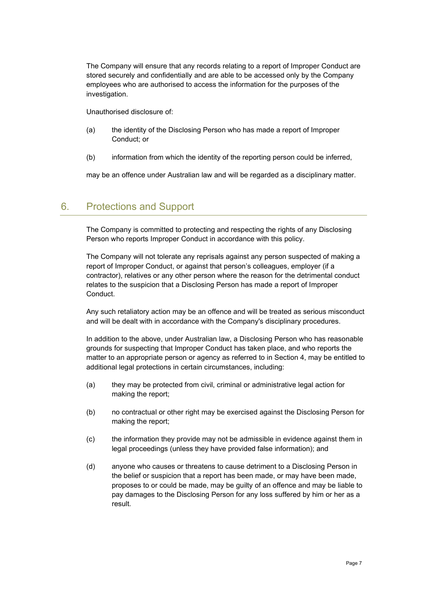The Company will ensure that any records relating to a report of Improper Conduct are stored securely and confidentially and are able to be accessed only by the Company employees who are authorised to access the information for the purposes of the investigation.

Unauthorised disclosure of:

- (a) the identity of the Disclosing Person who has made a report of Improper Conduct; or
- (b) information from which the identity of the reporting person could be inferred,

may be an offence under Australian law and will be regarded as a disciplinary matter.

### 6. Protections and Support

The Company is committed to protecting and respecting the rights of any Disclosing Person who reports Improper Conduct in accordance with this policy.

The Company will not tolerate any reprisals against any person suspected of making a report of Improper Conduct, or against that person's colleagues, employer (if a contractor), relatives or any other person where the reason for the detrimental conduct relates to the suspicion that a Disclosing Person has made a report of Improper Conduct.

Any such retaliatory action may be an offence and will be treated as serious misconduct and will be dealt with in accordance with the Company's disciplinary procedures.

In addition to the above, under Australian law, a Disclosing Person who has reasonable grounds for suspecting that Improper Conduct has taken place, and who reports the matter to an appropriate person or agency as referred to in Section 4, may be entitled to additional legal protections in certain circumstances, including:

- (a) they may be protected from civil, criminal or administrative legal action for making the report;
- (b) no contractual or other right may be exercised against the Disclosing Person for making the report;
- (c) the information they provide may not be admissible in evidence against them in legal proceedings (unless they have provided false information); and
- (d) anyone who causes or threatens to cause detriment to a Disclosing Person in the belief or suspicion that a report has been made, or may have been made, proposes to or could be made, may be guilty of an offence and may be liable to pay damages to the Disclosing Person for any loss suffered by him or her as a result.